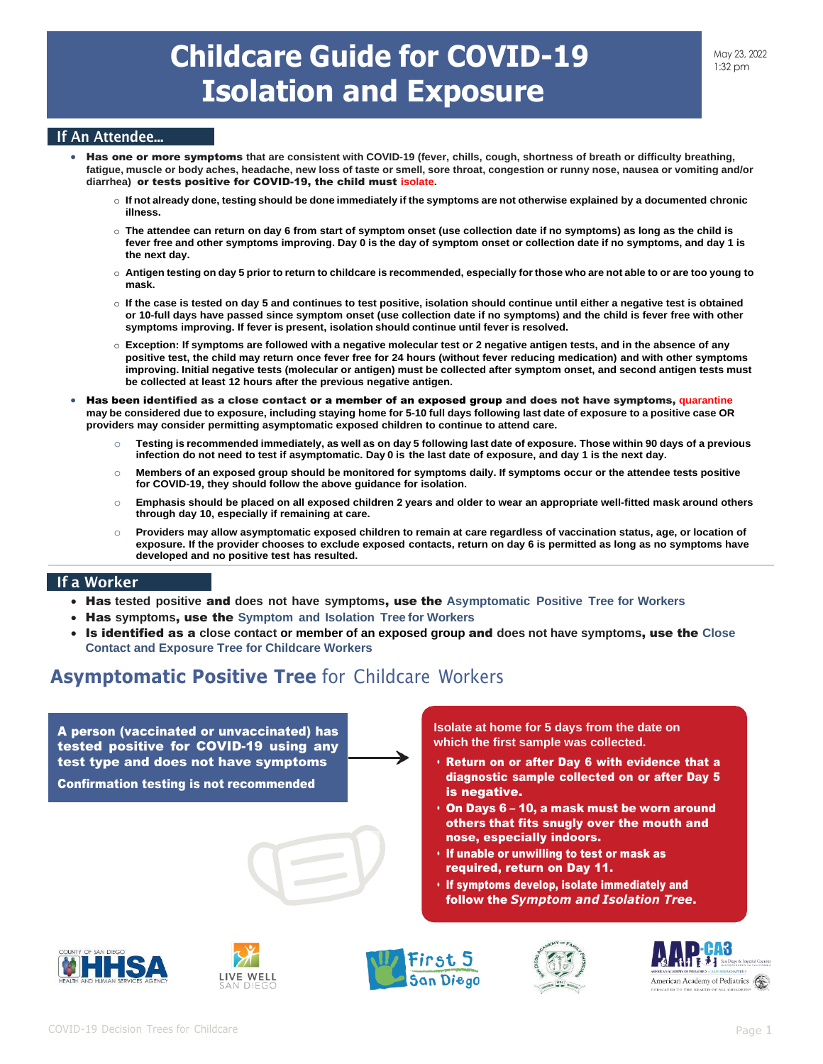### If An Attendee...

- Has one or more symptoms **that are consistent with COVID-19 (fever, chills, cough, shortness of breath or difficulty breathing, fatigue, muscle or body aches, headache, new loss of taste or smell, sore throat, congestion or runny nose, nausea or vomiting and/or diarrhea)** or tests positive for COVID-19, the child must **isolate.**
	- o **If not already done, testing should be done immediately if the symptoms are not otherwise explained by a documented chronic illness.**
	- o **The attendee can return on day 6 from start of symptom onset (use collection date if no symptoms) as long as the child is fever free and other symptoms improving. Day 0 is the day of symptom onset or collection date if no symptoms, and day 1 is the next day.**
	- o **Antigen testing on day 5 prior to return to childcare is recommended, especially for those who are not able to or are too young to mask.**
	- o **If the case is tested on day 5 and continues to test positive, isolation should continue until either a negative test is obtained or 10-full days have passed since symptom onset (use collection date if no symptoms) and the child is fever free with other symptoms improving. If fever is present, isolation should continue until fever is resolved.**
	- o **Exception: If symptoms are followed with a negative molecular test or 2 negative antigen tests, and in the absence of any positive test, the child may return once fever free for 24 hours (without fever reducing medication) and with other symptoms improving. Initial negative tests (molecular or antigen) must be collected after symptom onset, and second antigen tests must be collected at least 12 hours after the previous negative antigen.**
- Has been identified as a close contact or a member of an exposed group and does not have symptoms, **quarantine may be considered due to exposure, including staying home for 5-10 full days following last date of exposure to a positive case OR providers may consider permitting asymptomatic exposed children to continue to attend care.**
	- o **Testing is recommended immediately, as well as on day 5 following last date of exposure. Those within 90 days of a previous infection do not need to test if asymptomatic. Day 0 is the last date of exposure, and day 1 is the next day.**
	- o **Members of an exposed group should be monitored for symptoms daily. If symptoms occur or the attendee tests positive for COVID-19, they should follow the above guidance for isolation.**
	- o **Emphasis should be placed on all exposed children 2 years and older to wear an appropriate well-fitted mask around others through day 10, especially if remaining at care.**
	- o **Providers may allow asymptomatic exposed children to remain at care regardless of vaccination status, age, or location of exposure. If the provider chooses to exclude exposed contacts, return on day 6 is permitted as long as no symptoms have developed and no positive test has resulted.**

#### If a Worker

- Has **tested positive** and **does not have symptoms**, use the **Asymptomatic Positive Tree for Workers**
- Has **symptoms**, use the **Symptom and Isolation Tree for Workers**
- Is identified as a **close contact or member of an exposed group** and **does not have symptoms**, use the **Close Contact and Exposure Tree for Childcare Workers**

# **Asymptomatic Positive Tree** for Childcare Workers

A person (vaccinated or unvaccinated) has tested positive for COVID-19 using any test type and does not have symptoms

Confirmation testing is not recommended

**Isolate at home for 5 days from the date on which the first sample was collected.**

- Return on or after Day 6 with evidence that a diagnostic sample collected on or after Day 5 is negative.
- On Days 6 10, a mask must be worn around others that fits snugly over the mouth and nose, especially indoors.
- If unable or unwilling to test or mask as required, return on Day 11.
- If symptoms develop, isolate immediately and follow the *Symptom and Isolation Tree*.









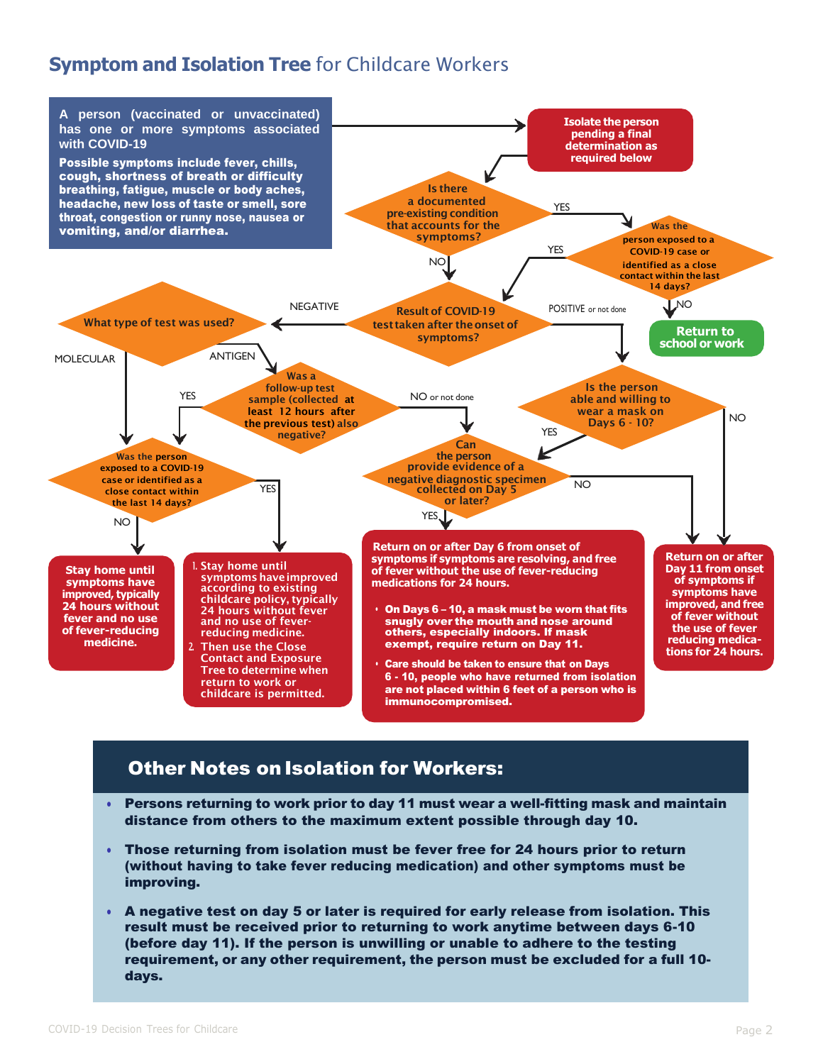# **Symptom and Isolation Tree** for Childcare Workers



### **Other Notes on Isolation for Workers:**

- Persons returning to work prior to day 11 must wear a well-fitting mask and maintain distance from others to the maximum extent possible through day 10.
- Those returning from isolation must be fever free for 24 hours prior to return (without having to take fever reducing medication) and other symptoms must be improving.
- A negative test on day 5 or later is required for early release from isolation. This result must be received prior to returning to work anytime between days 6-10 (before day 11). If the person is unwilling or unable to adhere to the testing requirement, or any other requirement, the person must be excluded for a full 10 days.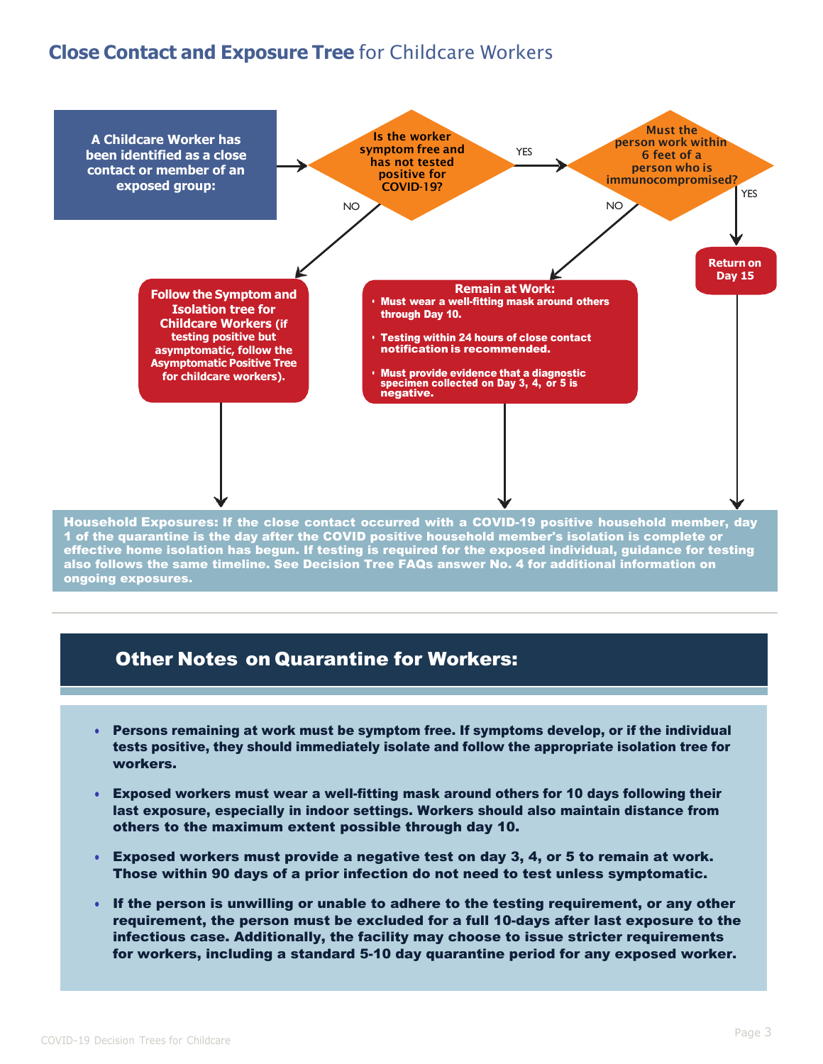# **Close Contact and Exposure Tree** for Childcare Workers



1 of the quarantine is the day after the COVID positive household member's isolation is complete or effective home isolation has begun. If testing is required for the exposed individual, guidance for testing also follows the same timeline. See Decision Tree FAQs answer No. 4 for additional information on ongoing exposures.

### Other Notes on Quarantine for Workers:

- Persons remaining at work must be symptom free. If symptoms develop, or if the individual tests positive, they should immediately isolate and follow the appropriate isolation tree for workers.
- Exposed workers must wear a well-fitting mask around others for 10 days following their last exposure, especially in indoor settings. Workers should also maintain distance from others to the maximum extent possible through day 10.
- Exposed workers must provide a negative test on day 3, 4, or 5 to remain at work. Those within 90 days of a prior infection do not need to test unless symptomatic.
- If the person is unwilling or unable to adhere to the testing requirement, or any other requirement, the person must be excluded for a full 10-days after last exposure to the infectious case. Additionally, the facility may choose to issue stricter requirements for workers, including a standard 5-10 day quarantine period for any exposed worker.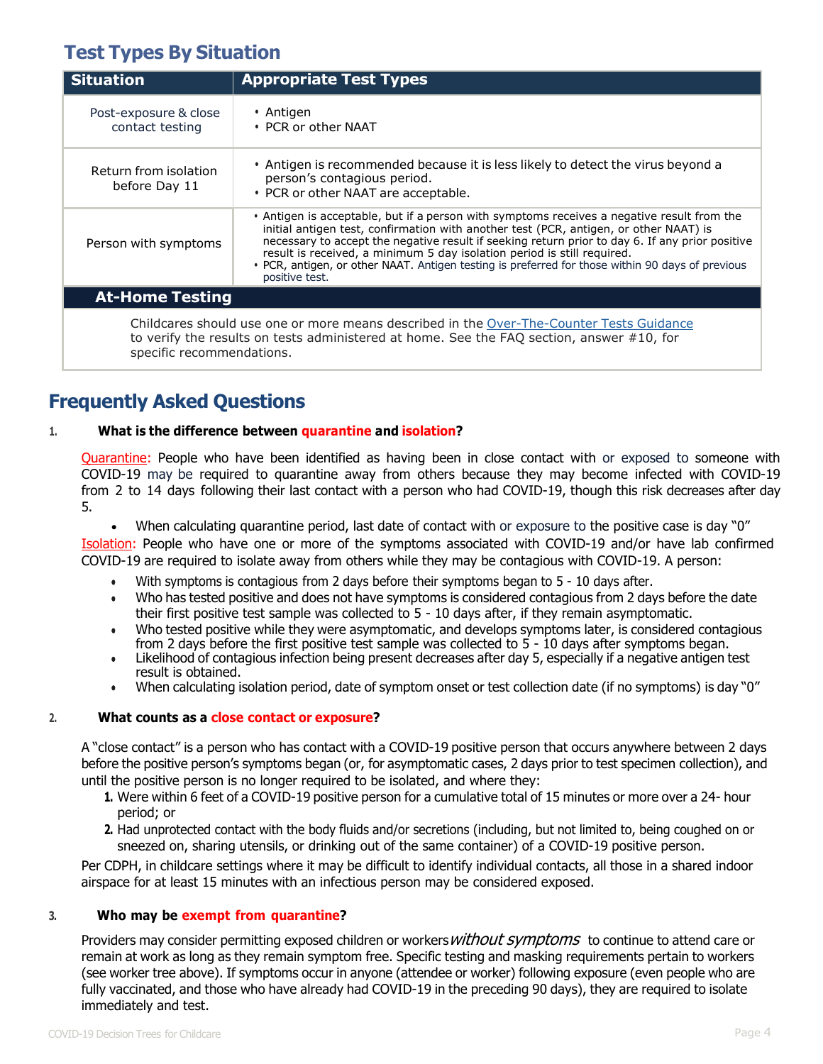# **Test Types By Situation**

| <b>Situation</b>                                                                                                                                                                                                   | <b>Appropriate Test Types</b>                                                                                                                                                                                                                                                                                                                                                                                                                                                           |
|--------------------------------------------------------------------------------------------------------------------------------------------------------------------------------------------------------------------|-----------------------------------------------------------------------------------------------------------------------------------------------------------------------------------------------------------------------------------------------------------------------------------------------------------------------------------------------------------------------------------------------------------------------------------------------------------------------------------------|
| Post-exposure & close<br>contact testing                                                                                                                                                                           | • Antigen<br>$\cdot$ PCR or other NAAT                                                                                                                                                                                                                                                                                                                                                                                                                                                  |
| Return from isolation<br>before Day 11                                                                                                                                                                             | • Antigen is recommended because it is less likely to detect the virus beyond a<br>person's contagious period.<br>• PCR or other NAAT are acceptable.                                                                                                                                                                                                                                                                                                                                   |
| Person with symptoms                                                                                                                                                                                               | • Antigen is acceptable, but if a person with symptoms receives a negative result from the<br>initial antigen test, confirmation with another test (PCR, antigen, or other NAAT) is<br>necessary to accept the negative result if seeking return prior to day 6. If any prior positive<br>result is received, a minimum 5 day isolation period is still required.<br>• PCR, antigen, or other NAAT. Antigen testing is preferred for those within 90 days of previous<br>positive test. |
| <b>At-Home Testing</b>                                                                                                                                                                                             |                                                                                                                                                                                                                                                                                                                                                                                                                                                                                         |
| Childcares should use one or more means described in the Over-The-Counter Tests Guidance<br>to verify the results on tests administered at home. See the FAQ section, answer #10, for<br>specific recommendations. |                                                                                                                                                                                                                                                                                                                                                                                                                                                                                         |

# **Frequently Asked Questions**

### **1. What is the difference between quarantine and isolation?**

Quarantine: People who have been identified as having been in close contact with or exposed to someone with COVID-19 may be required to quarantine away from others because they may become infected with COVID-19 from 2 to 14 days following their last contact with a person who had COVID-19, though this risk decreases after day 5.

• When calculating quarantine period, last date of contact with or exposure to the positive case is day "0"

Isolation: People who have one or more of the symptoms associated with COVID-19 and/or have lab confirmed COVID-19 are required to isolate away from others while they may be contagious with COVID-19. A person:

- With symptoms is contagious from 2 days before their symptoms began to 5 10 days after.
- Who has tested positive and does not have symptoms is considered contagious from 2 days before the date their first positive test sample was collected to 5 - 10 days after, if they remain asymptomatic.
- Who tested positive while they were asymptomatic, and develops symptoms later, is considered contagious from 2 days before the first positive test sample was collected to 5 - 10 days after symptoms began.
- Likelihood of contagious infection being present decreases after day 5, especially if a negative antigen test result is obtained.
- When calculating isolation period, date of symptom onset or test collection date (if no symptoms) is day "0"

#### **2. What counts as a close contact or exposure?**

A "close contact" is a person who has contact with a COVID-19 positive person that occurs anywhere between 2 days before the positive person's symptoms began (or, for asymptomatic cases, 2 days prior to test specimen collection), and until the positive person is no longer required to be isolated, and where they:

- **1.** Were within 6 feet of a COVID-19 positive person for a cumulative total of 15 minutes or more over a 24- hour period; or
- **2.** Had unprotected contact with the body fluids and/or secretions (including, but not limited to, being coughed on or sneezed on, sharing utensils, or drinking out of the same container) of a COVID-19 positive person.

Per CDPH, in childcare settings where it may be difficult to identify individual contacts, all those in a shared indoor airspace for at least 15 minutes with an infectious person may be considered exposed.

#### **3. Who may be exempt from quarantine?**

Providers may consider permitting exposed children or workers *without symptoms* to continue to attend care or remain at work as long as they remain symptom free. Specific testing and masking requirements pertain to workers (see worker tree above). If symptoms occur in anyone (attendee or worker) following exposure (even people who are fully vaccinated, and those who have already had COVID-19 in the preceding 90 days), they are required to isolate immediately and test.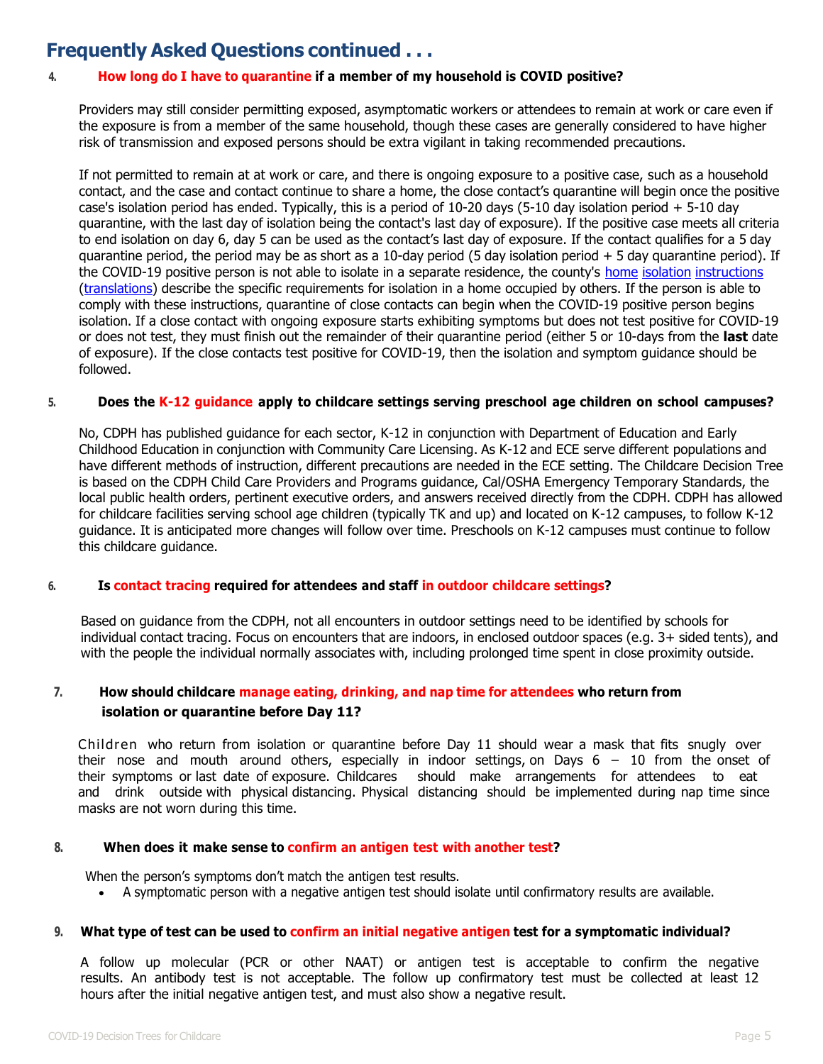## **Frequently Asked Questions continued . . .**

#### **4. How long do I have to quarantine if a member of my household is COVID positive?**

Providers may still consider permitting exposed, asymptomatic workers or attendees to remain at work or care even if the exposure is from a member of the same household, though these cases are generally considered to have higher risk of transmission and exposed persons should be extra vigilant in taking recommended precautions.

If not permitted to remain at at work or care, and there is ongoing exposure to a positive case, such as a household contact, and the case and contact continue to share a home, the close contact's quarantine will begin once the positive case's isolation period has ended. Typically, this is a period of  $10$ -20 days (5-10 day isolation period  $+5$ -10 day quarantine, with the last day of isolation being the contact's last day of exposure). If the positive case meets all criteria to end isolation on day 6, day 5 can be used as the contact's last day of exposure. If the contact qualifies for a 5 day quarantine period, the period may be as [short](https://www.sandiegocounty.gov/content/dam/sdc/hhsa/programs/phs/Epidemiology/COVID%20Home%20Isolation%20Instructions%20for%20COVID-19.pdf) as a 10-day period (5 day isolation period + 5 day quarantine period). If [the COVID-19 positive person is not able to isolate in a separate residence, the county's home](https://www.sandiegocounty.gov/content/dam/sdc/hhsa/programs/phs/Epidemiology/COVID%20Home%20Isolation%20Instructions%20for%20COVID-19.pdf) isolation instructions [\(translations\) de](https://www.sandiegocounty.gov/content/sdc/hhsa/programs/phs/community_epidemiology/dc/2019-nCoV/health-order.html)scribe the specific requirements for isolation [in a home occupied by others. If the person is able to](https://www.sandiegocounty.gov/content/dam/sdc/hhsa/programs/phs/Epidemiology/COVID%20Home%20Isolation%20Instructions%20for%20COVID-19.pdf) comply with these instructions, quarantine of close contacts can begin when the COVID-19 positive person begins isolation. If a close contact with ongoing exposure starts exhibiting symptoms but does not test positive for COVID-19 or does not test, they must finish out the remainder of their quarantine period (either 5 or 10-days from the **last** date of exposure). If the close contacts test positive for COVID-19, then the isolation and symptom guidance should be followed.

#### **5. Does the K-12 guidance apply to childcare settings serving preschool age children on school campuses?**

No, CDPH has published guidance for each sector, K-12 in conjunction with Department of Education and Early Childhood Education in conjunction with Community Care Licensing. As K-12 and ECE serve different populations and have different methods of instruction, different precautions are needed in the ECE setting. The Childcare Decision Tree is based on the CDPH Child Care Providers and Programs guidance, Cal/OSHA Emergency Temporary Standards, the local public health orders, pertinent executive orders, and answers received directly from the CDPH. CDPH has allowed for childcare facilities serving school age children (typically TK and up) and located on K-12 campuses, to follow K-12 guidance. It is anticipated more changes will follow over time. Preschools on K-12 campuses must continue to follow this childcare guidance.

#### **6. Is contact tracing required for attendees and staff in outdoor childcare settings?**

Based on guidance from the CDPH, not all encounters in outdoor settings need to be identified by schools for individual contact tracing. Focus on encounters that are indoors, in enclosed outdoor spaces (e.g. 3+ sided tents), and with the people the individual normally associates with, including prolonged time spent in close proximity outside.

### **7. How should childcare manage eating, drinking, and nap time for attendees who return from isolation or quarantine before Day 11?**

Children who return from isolation or quarantine before Day 11 should wear a mask that fits snugly over their nose and mouth around others, especially in indoor settings, on Days 6 – 10 from the onset of their symptoms or last date of exposure. Childcares should make arrangements for attendees to eat and drink outside with physical distancing. Physical distancing should be implemented during nap time since masks are not worn during this time.

#### **8. When does it make sense to confirm an antigen test with another test?**

When the person's symptoms don't match the antigen test results.

• A symptomatic person with a negative antigen test should isolate until confirmatory results are available.

#### 9. What type of test can be used to confirm an initial negative antigen test for a symptomatic individual?

A follow up molecular (PCR or other NAAT) or antigen test is acceptable to confirm the negative results. An antibody test is not acceptable. The follow up confirmatory test must be collected at least 12 hours after the initial negative antigen test, and must also show a negative result.